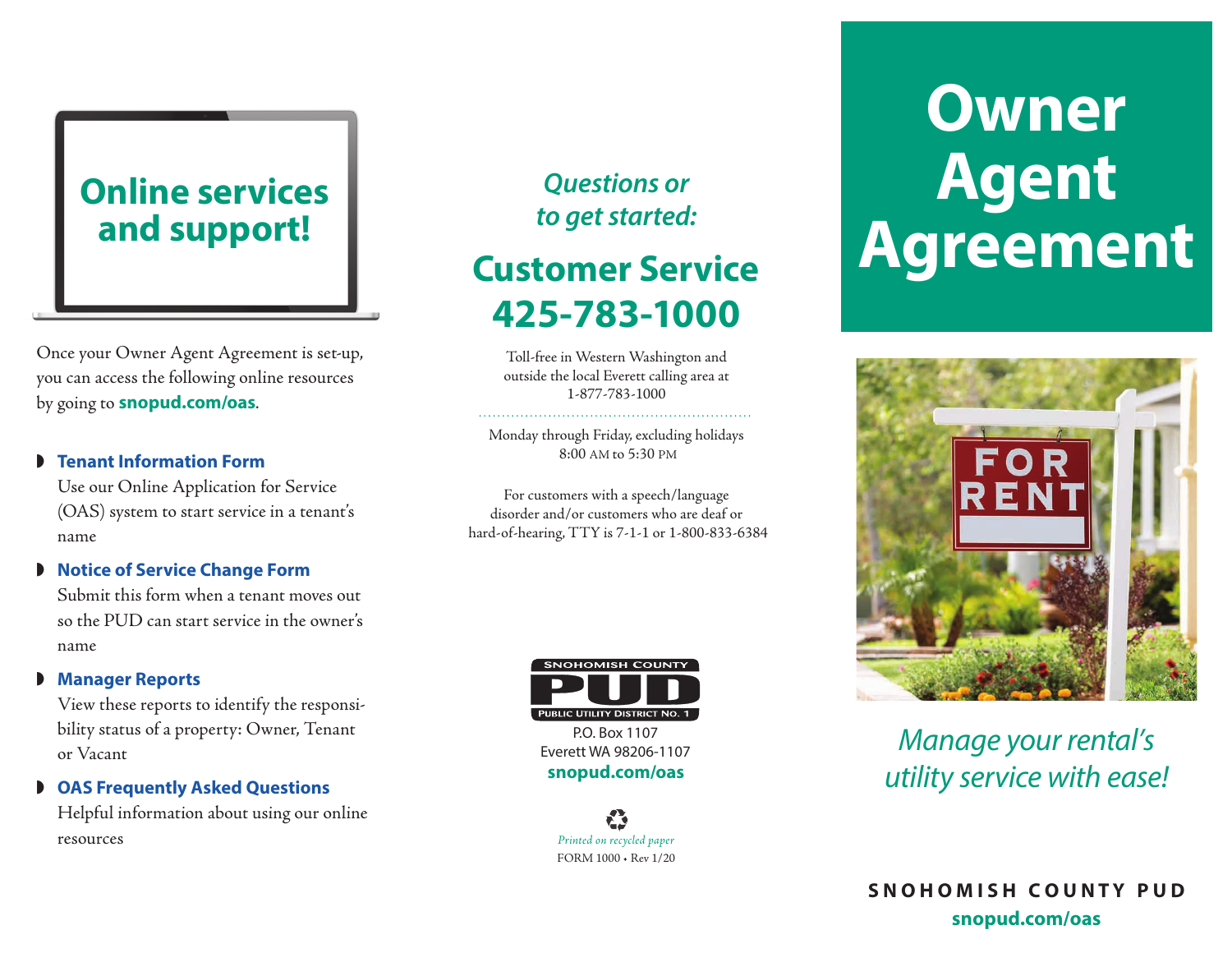### **Online services and support!**

Once your Owner Agent Agreement is set-up, you can access the following online resources by going to **snopud.com/oas***.*

#### **Fenant Information Form**

Use our Online Application for Service (OAS) system to start service in a tenant's name

### **Notice of Service Change Form**

Submit this form when a tenant moves out so the PUD can start service in the owner's name

### **Manager Reports**

View these reports to identify the responsibility status of a property: Owner, Tenant or Vacant

 $\bullet$  **OAS Frequently Asked Questions** 

Helpful information about using our online resources

### *Questions or to get started:*

## **425-783-1000 Customer Service**

Toll-free in Western Washington and outside the local Everett calling area at 1-877-783-1000

Monday through Friday, excluding holidays 8:00 AM to 5:30 PM

For customers with a speech/language disorder and/or customers who are deaf or hard-of-hearing, TTY is 7-1-1 or 1-800-833-6384



P.O. Box 1107 Everett WA 98206-1107 **snopud.com/oas**

*Printed on recycled paper* FORM 1000 • Rev 1/20

# **Owner Agent Agreement**



*Manage your rental's utility service with ease!*

**S N O H O M I S H C O U N T Y P U D snopud.com/oas**